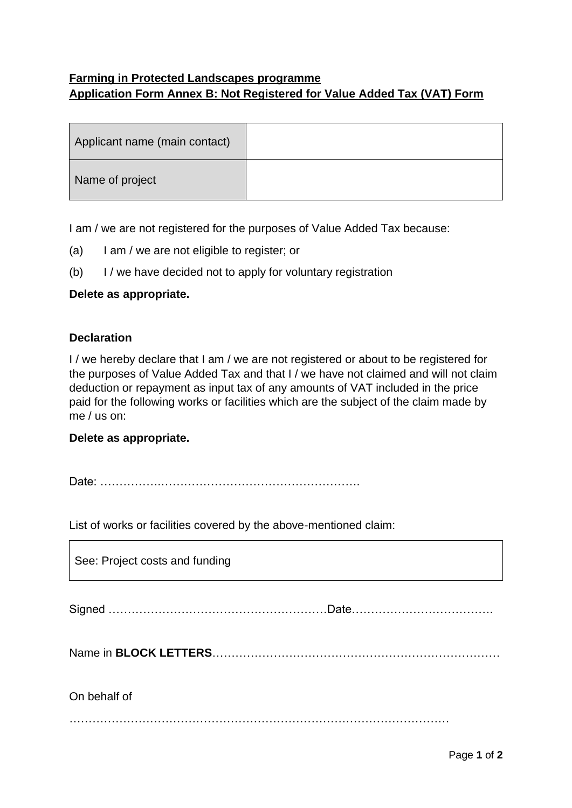## **Farming in Protected Landscapes programme Application Form Annex B: Not Registered for Value Added Tax (VAT) Form**

| Applicant name (main contact) |  |
|-------------------------------|--|
| Name of project               |  |

I am / we are not registered for the purposes of Value Added Tax because:

- (a) I am / we are not eligible to register; or
- (b) I / we have decided not to apply for voluntary registration

## **Delete as appropriate.**

## **Declaration**

I / we hereby declare that I am / we are not registered or about to be registered for the purposes of Value Added Tax and that I / we have not claimed and will not claim deduction or repayment as input tax of any amounts of VAT included in the price paid for the following works or facilities which are the subject of the claim made by me / us on:

## **Delete as appropriate.**

Date: …………….…………………………………………….

List of works or facilities covered by the above-mentioned claim:

| See: Project costs and funding |  |
|--------------------------------|--|
|                                |  |
|                                |  |
| On behalf of                   |  |
|                                |  |